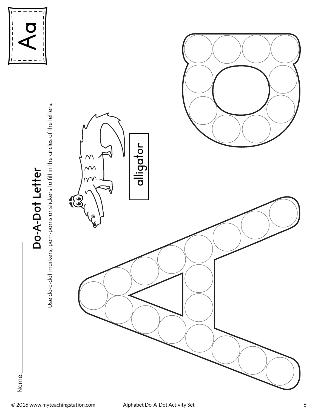

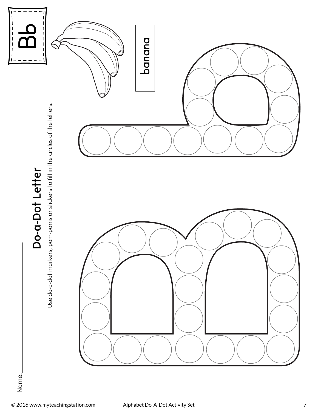

Name: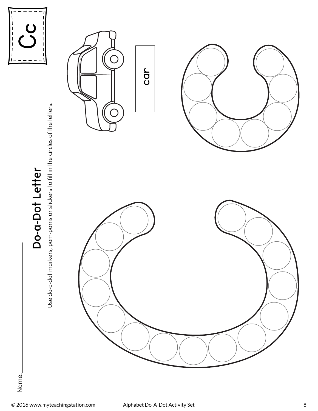

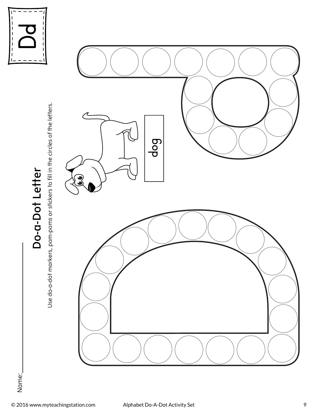

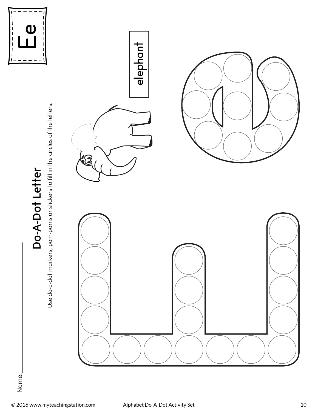

# **E eelephant**

Name:

Use do-a-dot markers, pom-poms or stickers to fill in the circles of the letters.

Use do-a-dot markers, pom-poms or stickers to fill in the circles of the letters.

**Do-A-Dot Letter** 

Do-A-Dot Letter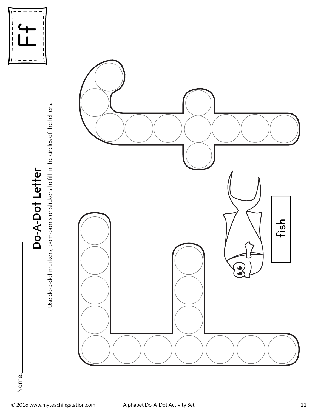

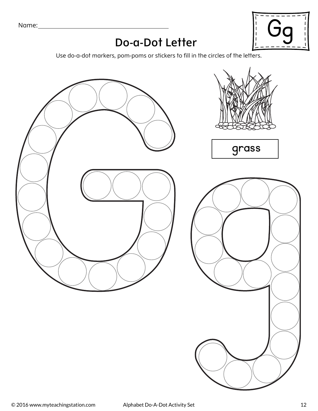Name:



#### **Do-a-Dot Letter**

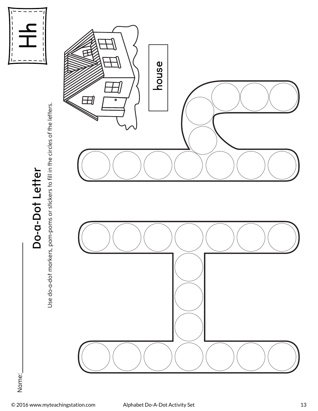



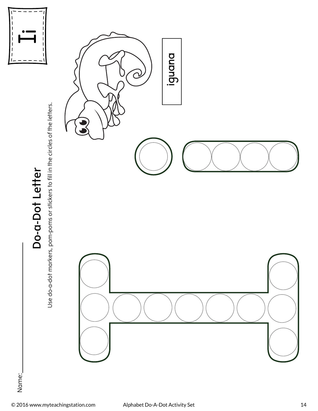

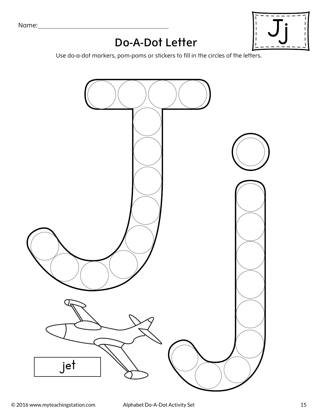

### **Do-A-Dot Letter**

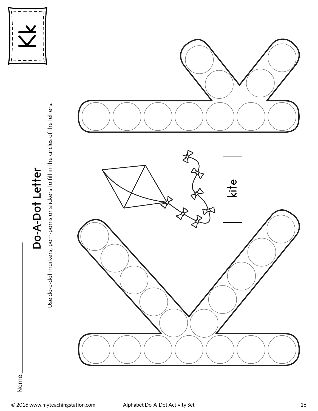

Use do-a-dot markers, pom-poms or stickers to fill in the circles of the letters. Use do-a-dot markers, pom-poms or stickers to fill in the circles of the letters.



Name: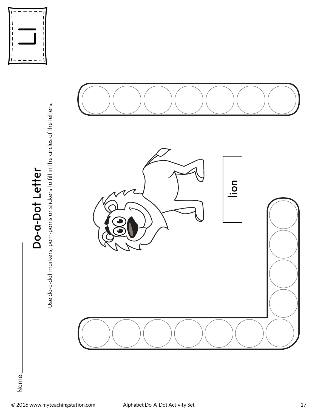

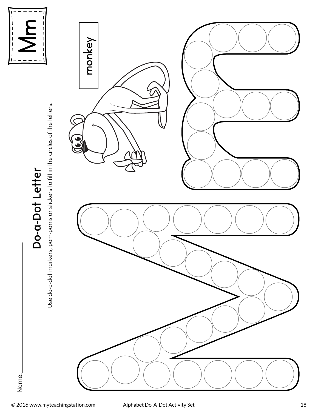

Use do-a-dot markers, pom-poms or stickers to fill in the circles of the letters. Use do-a-dot markers, pom-poms or stickers to fill in the circles of the letters.



Name: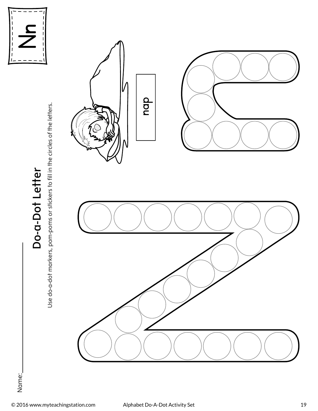

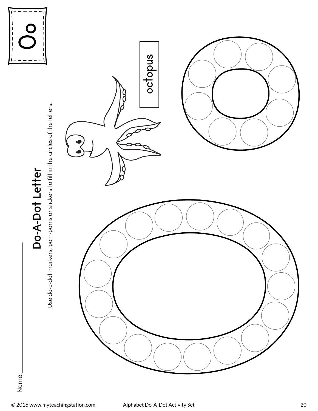

**Do-A-Dot Letter** 

Do-A-Dot Letter

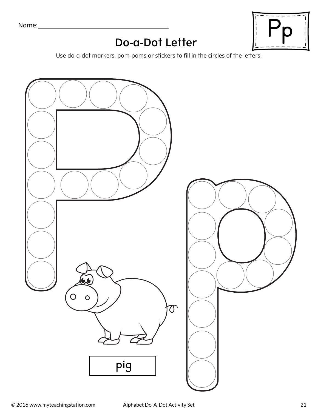Name:



## **Do-a-Dot Letter**

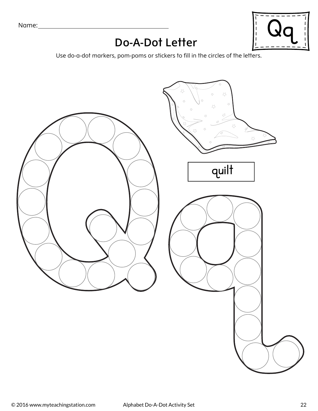Name:

#### **Do-A-Dot Letter**



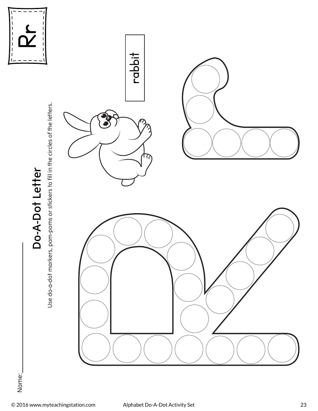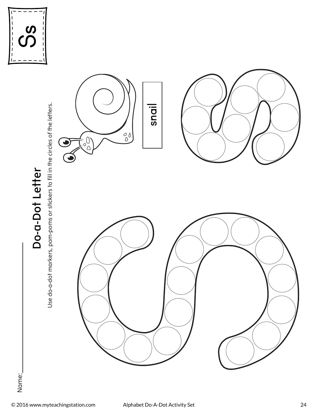

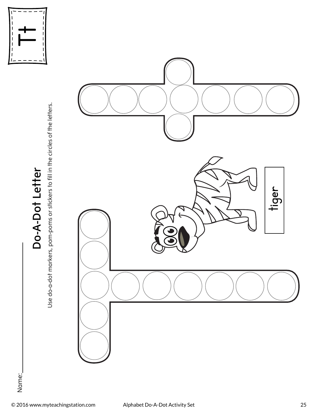

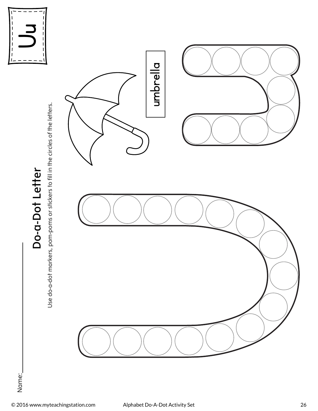



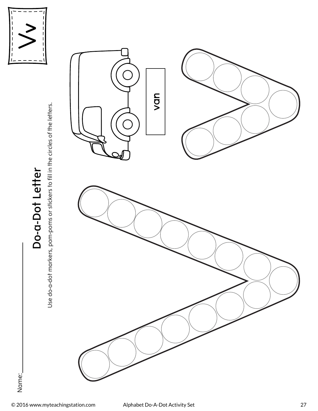

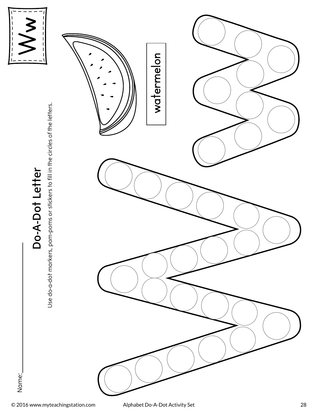



Name: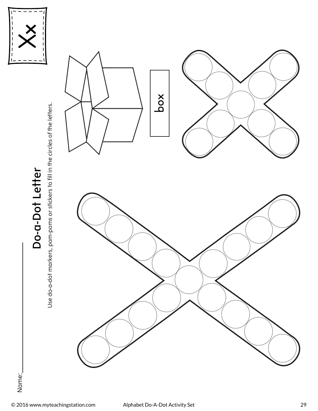

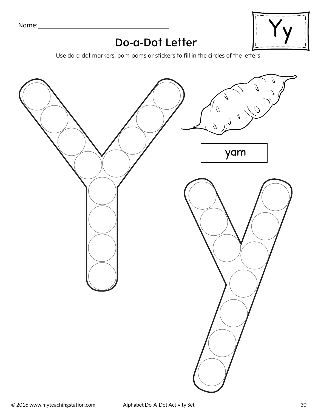

#### **Do-a-Dot Letter**